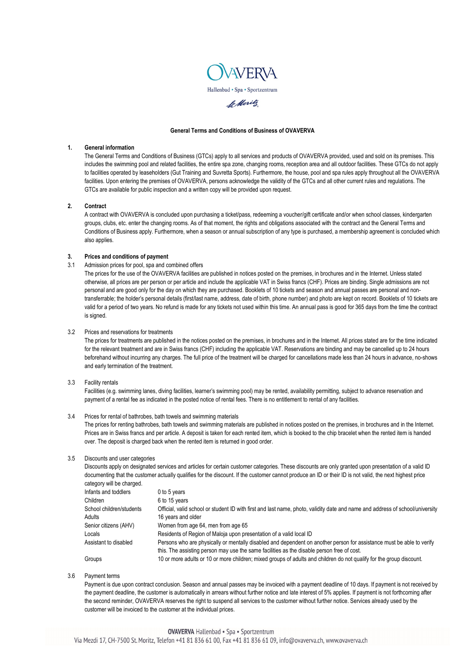

## General Terms and Conditions of Business of OVAVERVA

## 1. General information

 The General Terms and Conditions of Business (GTCs) apply to all services and products of OVAVERVA provided, used and sold on its premises. This includes the swimming pool and related facilities, the entire spa zone, changing rooms, reception area and all outdoor facilities. These GTCs do not apply to facilities operated by leaseholders (Gut Training and Suvretta Sports). Furthermore, the house, pool and spa rules apply throughout all the OVAVERVA facilities. Upon entering the premises of OVAVERVA, persons acknowledge the validity of the GTCs and all other current rules and regulations. The GTCs are available for public inspection and a written copy will be provided upon request.

## 2. Contract

 A contract with OVAVERVA is concluded upon purchasing a ticket/pass, redeeming a voucher/gift certificate and/or when school classes, kindergarten groups, clubs, etc. enter the changing rooms. As of that moment, the rights and obligations associated with the contract and the General Terms and Conditions of Business apply. Furthermore, when a season or annual subscription of any type is purchased, a membership agreement is concluded which also applies.

## 3. Prices and conditions of payment

## 3.1 Admission prices for pool, spa and combined offers

 The prices for the use of the OVAVERVA facilities are published in notices posted on the premises, in brochures and in the Internet. Unless stated otherwise, all prices are per person or per article and include the applicable VAT in Swiss francs (CHF). Prices are binding. Single admissions are not personal and are good only for the day on which they are purchased. Booklets of 10 tickets and season and annual passes are personal and nontransferrable; the holder's personal details (first/last name, address, date of birth, phone number) and photo are kept on record. Booklets of 10 tickets are valid for a period of two years. No refund is made for any tickets not used within this time. An annual pass is good for 365 days from the time the contract is signed.

### 3.2 Prices and reservations for treatments

 The prices for treatments are published in the notices posted on the premises, in brochures and in the Internet. All prices stated are for the time indicated for the relevant treatment and are in Swiss francs (CHF) including the applicable VAT. Reservations are binding and may be cancelled up to 24 hours beforehand without incurring any charges. The full price of the treatment will be charged for cancellations made less than 24 hours in advance, no-shows and early termination of the treatment.

## 3.3 Facility rentals

 Facilities (e.g. swimming lanes, diving facilities, learner's swimming pool) may be rented, availability permitting, subject to advance reservation and payment of a rental fee as indicated in the posted notice of rental fees. There is no entitlement to rental of any facilities.

## 3.4 Prices for rental of bathrobes, bath towels and swimming materials

 The prices for renting bathrobes, bath towels and swimming materials are published in notices posted on the premises, in brochures and in the Internet. Prices are in Swiss francs and per article. A deposit is taken for each rented item, which is booked to the chip bracelet when the rented item is handed over. The deposit is charged back when the rented item is returned in good order.

## 3.5 Discounts and user categories

 Discounts apply on designated services and articles for certain customer categories. These discounts are only granted upon presentation of a valid ID documenting that the customer actually qualifies for the discount. If the customer cannot produce an ID or their ID is not valid, the next highest price category will be charged.

| $30.0401$ , $1.000$ $0.001$ |                                                                                                                               |
|-----------------------------|-------------------------------------------------------------------------------------------------------------------------------|
| Infants and toddlers        | 0 to 5 years                                                                                                                  |
| Children                    | 6 to 15 years                                                                                                                 |
| School children/students    | Official, valid school or student ID with first and last name, photo, validity date and name and address of school/university |
| Adults                      | 16 years and older                                                                                                            |
| Senior citizens (AHV)       | Women from age 64, men from age 65                                                                                            |
| Locals                      | Residents of Region of Maloja upon presentation of a valid local ID                                                           |
| Assistant to disabled       | Persons who are physically or mentally disabled and dependent on another person for assistance must be able to verify         |
|                             | this. The assisting person may use the same facilities as the disable person free of cost.                                    |
| Groups                      | 10 or more adults or 10 or more children; mixed groups of adults and children do not qualify for the group discount.          |

### 3.6 Payment terms

 Payment is due upon contract conclusion. Season and annual passes may be invoiced with a payment deadline of 10 days. If payment is not received by the payment deadline, the customer is automatically in arrears without further notice and late interest of 5% applies. If payment is not forthcoming after the second reminder, OVAVERVA reserves the right to suspend all services to the customer without further notice. Services already used by the customer will be invoiced to the customer at the individual prices.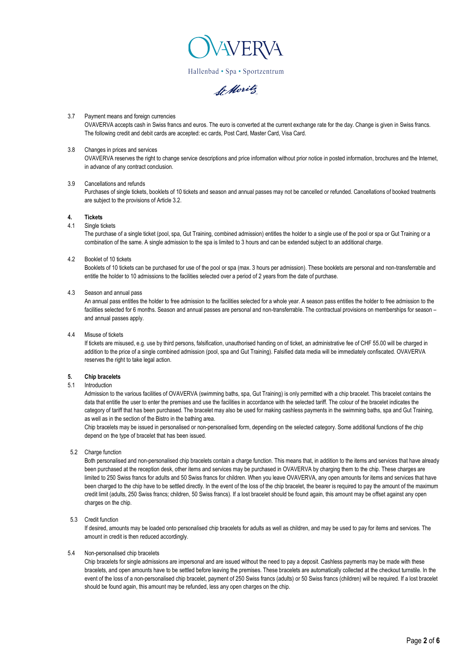

Ar Moritz

# 3.7 Payment means and foreign currencies OVAVERVA accepts cash in Swiss francs and euros. The euro is converted at the current exchange rate for the day. Change is given in Swiss francs. The following credit and debit cards are accepted: ec cards, Post Card, Master Card, Visa Card.

3.8 Changes in prices and services OVAVERVA reserves the right to change service descriptions and price information without prior notice in posted information, brochures and the Internet, in advance of any contract conclusion.

# 3.9 Cancellations and refunds

 Purchases of single tickets, booklets of 10 tickets and season and annual passes may not be cancelled or refunded. Cancellations of booked treatments are subject to the provisions of Article 3.2.

# 4. Tickets

4.1 Single tickets

 The purchase of a single ticket (pool, spa, Gut Training, combined admission) entitles the holder to a single use of the pool or spa or Gut Training or a combination of the same. A single admission to the spa is limited to 3 hours and can be extended subject to an additional charge.

# 4.2 Booklet of 10 tickets

 Booklets of 10 tickets can be purchased for use of the pool or spa (max. 3 hours per admission). These booklets are personal and non-transferrable and entitle the holder to 10 admissions to the facilities selected over a period of 2 years from the date of purchase.

## 4.3 Season and annual pass

 An annual pass entitles the holder to free admission to the facilities selected for a whole year. A season pass entitles the holder to free admission to the facilities selected for 6 months. Season and annual passes are personal and non-transferrable. The contractual provisions on memberships for season – and annual passes apply.

4.4 Misuse of tickets

 If tickets are misused, e.g. use by third persons, falsification, unauthorised handing on of ticket, an administrative fee of CHF 55.00 will be charged in addition to the price of a single combined admission (pool, spa and Gut Training). Falsified data media will be immediately confiscated. OVAVERVA reserves the right to take legal action.

# 5. Chip bracelets

## 5.1 Introduction

 Admission to the various facilities of OVAVERVA (swimming baths, spa, Gut Training) is only permitted with a chip bracelet. This bracelet contains the data that entitle the user to enter the premises and use the facilities in accordance with the selected tariff. The colour of the bracelet indicates the category of tariff that has been purchased. The bracelet may also be used for making cashless payments in the swimming baths, spa and Gut Training, as well as in the section of the Bistro in the bathing area.

 Chip bracelets may be issued in personalised or non-personalised form, depending on the selected category. Some additional functions of the chip depend on the type of bracelet that has been issued.

5.2 Charge function

 Both personalised and non-personalised chip bracelets contain a charge function. This means that, in addition to the items and services that have already been purchased at the reception desk, other items and services may be purchased in OVAVERVA by charging them to the chip. These charges are limited to 250 Swiss francs for adults and 50 Swiss francs for children. When you leave OVAVERVA, any open amounts for items and services that have been charged to the chip have to be settled directly. In the event of the loss of the chip bracelet, the bearer is required to pay the amount of the maximum credit limit (adults, 250 Swiss francs; children, 50 Swiss francs). If a lost bracelet should be found again, this amount may be offset against any open charges on the chip.

## 5.3 Credit function

 If desired, amounts may be loaded onto personalised chip bracelets for adults as well as children, and may be used to pay for items and services. The amount in credit is then reduced accordingly.

## 5.4 Non-personalised chip bracelets

 Chip bracelets for single admissions are impersonal and are issued without the need to pay a deposit. Cashless payments may be made with these bracelets, and open amounts have to be settled before leaving the premises. These bracelets are automatically collected at the checkout turnstile. In the event of the loss of a non-personalised chip bracelet, payment of 250 Swiss francs (adults) or 50 Swiss francs (children) will be required. If a lost bracelet should be found again, this amount may be refunded, less any open charges on the chip.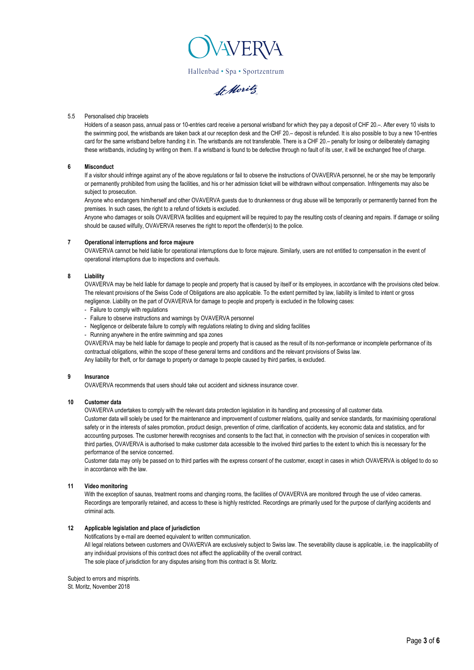

Ar Moritz

## 5.5 Personalised chip bracelets

Holders of a season pass, annual pass or 10-entries card receive a personal wristband for which they pay a deposit of CHF 20.-. After every 10 visits to the swimming pool, the wristbands are taken back at our reception desk and the CHF 20.– deposit is refunded. It is also possible to buy a new 10-entries card for the same wristband before handing it in. The wristbands are not transferable. There is a CHF 20.– penalty for losing or deliberately damaging these wristbands, including by writing on them. If a wristband is found to be defective through no fault of its user, it will be exchanged free of charge.

# 6 Misconduct

 If a visitor should infringe against any of the above regulations or fail to observe the instructions of OVAVERVA personnel, he or she may be temporarily or permanently prohibited from using the facilities, and his or her admission ticket will be withdrawn without compensation. Infringements may also be subject to prosecution.

 Anyone who endangers him/herself and other OVAVERVA guests due to drunkenness or drug abuse will be temporarily or permanently banned from the premises. In such cases, the right to a refund of tickets is excluded.

 Anyone who damages or soils OVAVERVA facilities and equipment will be required to pay the resulting costs of cleaning and repairs. If damage or soiling should be caused wilfully, OVAVERVA reserves the right to report the offender(s) to the police.

# 7 Operational interruptions and force majeure

 OVAVERVA cannot be held liable for operational interruptions due to force majeure. Similarly, users are not entitled to compensation in the event of operational interruptions due to inspections and overhauls.

# 8 Liability

 OVAVERVA may be held liable for damage to people and property that is caused by itself or its employees, in accordance with the provisions cited below. The relevant provisions of the Swiss Code of Obligations are also applicable. To the extent permitted by law, liability is limited to intent or gross negligence. Liability on the part of OVAVERVA for damage to people and property is excluded in the following cases:

- Failure to comply with regulations
- Failure to observe instructions and warnings by OVAVERVA personnel
- Negligence or deliberate failure to comply with regulations relating to diving and sliding facilities
- Running anywhere in the entire swimming and spa zones

 OVAVERVA may be held liable for damage to people and property that is caused as the result of its non-performance or incomplete performance of its contractual obligations, within the scope of these general terms and conditions and the relevant provisions of Swiss law. Any liability for theft, or for damage to property or damage to people caused by third parties, is excluded.

# 9 Insurance

OVAVERVA recommends that users should take out accident and sickness insurance cover.

## 10 Customer data

 OVAVERVA undertakes to comply with the relevant data protection legislation in its handling and processing of all customer data. Customer data will solely be used for the maintenance and improvement of customer relations, quality and service standards, for maximising operational safety or in the interests of sales promotion, product design, prevention of crime, clarification of accidents, key economic data and statistics, and for accounting purposes. The customer herewith recognises and consents to the fact that, in connection with the provision of services in cooperation with third parties, OVAVERVA is authorised to make customer data accessible to the involved third parties to the extent to which this is necessary for the performance of the service concerned.

 Customer data may only be passed on to third parties with the express consent of the customer, except in cases in which OVAVERVA is obliged to do so in accordance with the law.

## 11 Video monitoring

With the exception of saunas, treatment rooms and changing rooms, the facilities of OVAVERVA are monitored through the use of video cameras. Recordings are temporarily retained, and access to these is highly restricted. Recordings are primarily used for the purpose of clarifying accidents and criminal acts.

# 12 Applicable legislation and place of jurisdiction

 Notifications by e-mail are deemed equivalent to written communication. All legal relations between customers and OVAVERVA are exclusively subject to Swiss law. The severability clause is applicable, i.e. the inapplicability of any individual provisions of this contract does not affect the applicability of the overall contract. The sole place of jurisdiction for any disputes arising from this contract is St. Moritz.

Subject to errors and misprints. St. Moritz, November 2018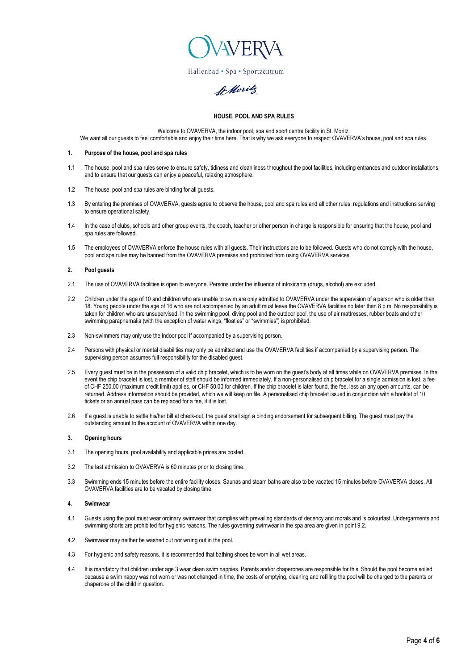

for Moritz

## HOUSE, POOL AND SPA RULES

Welcome to OVAVERVA, the indoor pool, spa and sport centre facility in St. Moritz. We want all our guests to feel comfortable and enjoy their time here. That is why we ask everyone to respect OVAVERVA's house, pool and spa rules.

### 1. Purpose of the house, pool and spa rules

- 1.1 The house, pool and spa rules serve to ensure safety, tidiness and cleanliness throughout the pool facilities, including entrances and outdoor installations, and to ensure that our guests can enjoy a peaceful, relaxing atmosphere.
- 1.2 The house, pool and spa rules are binding for all guests.
- 1.3 By entering the premises of OVAVERVA, guests agree to observe the house, pool and spa rules and all other rules, regulations and instructions serving to ensure operational safety.
- 1.4 In the case of clubs, schools and other group events, the coach, teacher or other person in charge is responsible for ensuring that the house, pool and spa rules are followed.
- 1.5 The employees of OVAVERVA enforce the house rules with all guests. Their instructions are to be followed. Guests who do not comply with the house, pool and spa rules may be banned from the OVAVERVA premises and prohibited from using OVAVERVA services.

### 2. Pool guests

- 2.1 The use of OVAVERVA facilities is open to everyone. Persons under the influence of intoxicants (drugs, alcohol) are excluded.
- 2.2 Children under the age of 10 and children who are unable to swim are only admitted to OVAVERVA under the supervision of a person who is older than 18. Young people under the age of 16 who are not accompanied by an adult must leave the OVAVERVA facilities no later than 8 p.m. No responsibility is taken for children who are unsupervised. In the swimming pool, diving pool and the outdoor pool, the use of air mattresses, rubber boats and other swimming paraphernalia (with the exception of water wings, "floaties" or "swimmies") is prohibited.
- 2.3 Non-swimmers may only use the indoor pool if accompanied by a supervising person.
- 2.4 Persons with physical or mental disabilities may only be admitted and use the OVAVERVA facilities if accompanied by a supervising person. The supervising person assumes full responsibility for the disabled guest.
- 2.5 Every guest must be in the possession of a valid chip bracelet, which is to be worn on the guest's body at all times while on OVAVERVA premises. In the event the chip bracelet is lost, a member of staff should be informed immediately. If a non-personalised chip bracelet for a single admission is lost, a fee of CHF 250.00 (maximum credit limit) applies, or CHF 50.00 for children. If the chip bracelet is later found, the fee, less an any open amounts, can be returned. Address information should be provided, which we will keep on file. A personalised chip bracelet issued in conjunction with a booklet of 10 tickets or an annual pass can be replaced for a fee, if it is lost.
- 2.6 If a guest is unable to settle his/her bill at check-out, the guest shall sign a binding endorsement for subsequent billing. The guest must pay the outstanding amount to the account of OVAVERVA within one day.

#### 3. Opening hours

- 3.1 The opening hours, pool availability and applicable prices are posted.
- 3.2 The last admission to OVAVERVA is 60 minutes prior to closing time.
- 3.3 Swimming ends 15 minutes before the entire facility closes. Saunas and steam baths are also to be vacated 15 minutes before OVAVERVA closes. All OVAVERVA facilities are to be vacated by closing time.

#### 4. Swimwear

- 4.1 Guests using the pool must wear ordinary swimwear that complies with prevailing standards of decency and morals and is colourfast. Undergarments and swimming shorts are prohibited for hygienic reasons. The rules governing swimwear in the spa area are given in point 9.2.
- 4.2 Swimwear may neither be washed out nor wrung out in the pool.
- 4.3 For hygienic and safety reasons, it is recommended that bathing shoes be worn in all wet areas.
- 4.4 It is mandatory that children under age 3 wear clean swim nappies. Parents and/or chaperones are responsible for this. Should the pool become soiled because a swim nappy was not worn or was not changed in time, the costs of emptying, cleaning and refilling the pool will be charged to the parents or chaperone of the child in question.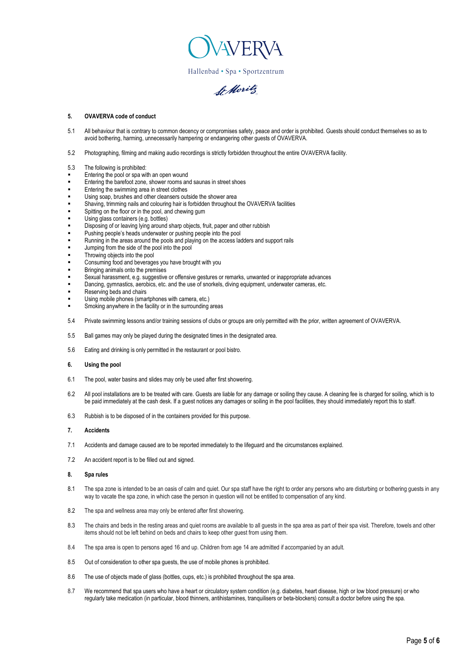

*St Moritz* 

## 5. OVAVERVA code of conduct

- 5.1 All behaviour that is contrary to common decency or compromises safety, peace and order is prohibited. Guests should conduct themselves so as to avoid bothering, harming, unnecessarily hampering or endangering other guests of OVAVERVA.
- 5.2 Photographing, filming and making audio recordings is strictly forbidden throughout the entire OVAVERVA facility.
- 5.3 The following is prohibited:
- Entering the pool or spa with an open wound
- Entering the barefoot zone, shower rooms and saunas in street shoes
- Entering the swimming area in street clothes
- Using soap, brushes and other cleansers outside the shower area
- Shaving, trimming nails and colouring hair is forbidden throughout the OVAVERVA facilities
- Spitting on the floor or in the pool, and chewing gum
- Using glass containers (e.g. bottles)
- Disposing of or leaving lying around sharp objects, fruit, paper and other rubbish
- Pushing people's heads underwater or pushing people into the pool
- Running in the areas around the pools and playing on the access ladders and support rails Jumping from the side of the pool into the pool
- 
- Throwing objects into the pool
- Consuming food and beverages you have brought with you
- Bringing animals onto the premises
- Sexual harassment, e.g. suggestive or offensive gestures or remarks, unwanted or inappropriate advances
- Dancing, gymnastics, aerobics, etc. and the use of snorkels, diving equipment, underwater cameras, etc.
- Reserving beds and chairs
- Using mobile phones (smartphones with camera, etc.)
- Smoking anywhere in the facility or in the surrounding areas
- 5.4 Private swimming lessons and/or training sessions of clubs or groups are only permitted with the prior, written agreement of OVAVERVA.
- 5.5 Ball games may only be played during the designated times in the designated area.
- 5.6 Eating and drinking is only permitted in the restaurant or pool bistro.

### 6. Using the pool

- 6.1 The pool, water basins and slides may only be used after first showering.
- 6.2 All pool installations are to be treated with care. Guests are liable for any damage or soiling they cause. A cleaning fee is charged for soiling, which is to be paid immediately at the cash desk. If a guest notices any damages or soiling in the pool facilities, they should immediately report this to staff.
- 6.3 Rubbish is to be disposed of in the containers provided for this purpose.

### 7. Accidents

- 7.1 Accidents and damage caused are to be reported immediately to the lifeguard and the circumstances explained.
- 7.2 An accident report is to be filled out and signed.

### 8. Spa rules

- 8.1 The spa zone is intended to be an oasis of calm and quiet. Our spa staff have the right to order any persons who are disturbing or bothering quests in any way to vacate the spa zone, in which case the person in question will not be entitled to compensation of any kind.
- 8.2 The spa and wellness area may only be entered after first showering.
- 8.3 The chairs and beds in the resting areas and quiet rooms are available to all guests in the spa area as part of their spa visit. Therefore, towels and other items should not be left behind on beds and chairs to keep other guest from using them.
- 8.4 The spa area is open to persons aged 16 and up. Children from age 14 are admitted if accompanied by an adult.
- 8.5 Out of consideration to other spa guests, the use of mobile phones is prohibited.
- 8.6 The use of objects made of glass (bottles, cups, etc.) is prohibited throughout the spa area.
- 8.7 We recommend that spa users who have a heart or circulatory system condition (e.g. diabetes, heart disease, high or low blood pressure) or who regularly take medication (in particular, blood thinners, antihistamines, tranquilisers or beta-blockers) consult a doctor before using the spa.